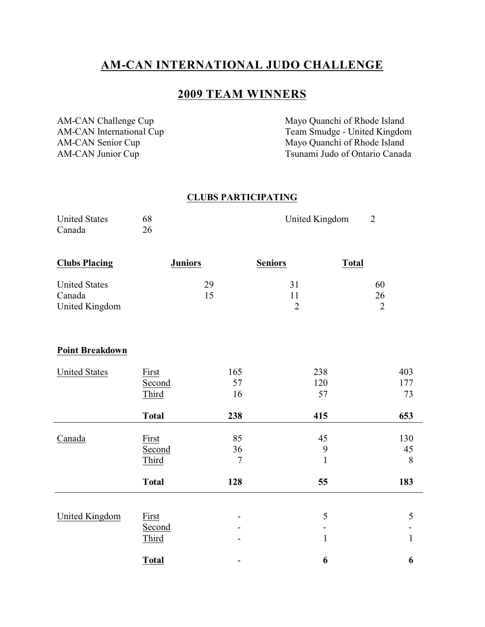# **AM-CAN INTERNATIONAL JUDO CHALLENGE**

## **2009 TEAM WINNERS**

AM-CAN Challenge Cup<br>
AM-CAN International Cup<br>
Team Smudge - United Kingdor<br>
Team Smudge - United Kingdor AM-CAN International Cup<br>
AM-CAN Senior Cup<br>
Mayo Quanchi of Rhode Island AM-CAN Senior Cup<br>
AM-CAN Junior Cup<br>
AM-CAN Junior Cup<br>
Tsunami Judo of Ontario Canad Tsunami Judo of Ontario Canada

## **CLUBS PARTICIPATING**

| <b>United States</b> | United Kingdom |  |
|----------------------|----------------|--|
| Canada               |                |  |

| <b>Clubs Placing</b>                             | <b>Juniors</b>                  |                 | <b>Seniors</b>         |                         | <b>Total</b> |                            |                   |
|--------------------------------------------------|---------------------------------|-----------------|------------------------|-------------------------|--------------|----------------------------|-------------------|
| <b>United States</b><br>Canada<br>United Kingdom |                                 | 29<br>15        | 31<br>11<br>$\sqrt{2}$ |                         |              | 60<br>26<br>$\overline{2}$ |                   |
| <b>Point Breakdown</b>                           |                                 |                 |                        |                         |              |                            |                   |
| <b>United States</b>                             | First<br>Second<br><b>Third</b> | 165<br>57<br>16 |                        | 238<br>120<br>57        |              |                            | 403<br>177<br>73  |
|                                                  | <b>Total</b>                    | 238             |                        | 415                     |              |                            | 653               |
| Canada                                           | First<br>Second<br>Third        | 85<br>36<br>7   |                        | 45<br>9<br>$\mathbf{1}$ |              |                            | 130<br>45<br>8    |
|                                                  | <b>Total</b>                    | 128             |                        | 55                      |              |                            | 183               |
| <b>United Kingdom</b>                            | <b>First</b><br>Second<br>Third |                 |                        | 5<br>$\mathbf{1}$       |              |                            | 5<br>$\mathbf{1}$ |
|                                                  | <b>Total</b>                    |                 |                        | 6                       |              |                            | 6                 |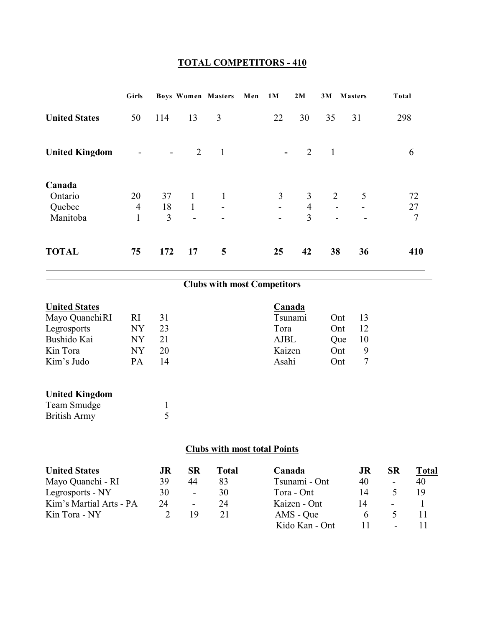# **TOTAL COMPETITORS - 410**

|                       | Girls          |                          |              | Boys Women Masters                 | Men | 1 M            | 2M             | 3M             | <b>Masters</b> | Total          |
|-----------------------|----------------|--------------------------|--------------|------------------------------------|-----|----------------|----------------|----------------|----------------|----------------|
| <b>United States</b>  | 50             | 114                      | 13           | 3                                  |     | 22             | 30             | 35             | 31             | 298            |
| <b>United Kingdom</b> |                | $\overline{\phantom{a}}$ | 2            | $\overline{\phantom{0}}$           |     | $\blacksquare$ | 2              | $\overline{1}$ |                | 6              |
| Canada                |                |                          |              |                                    |     |                |                |                |                |                |
| Ontario               | 20             | 37                       | $\mathbf{1}$ | $\mathbf{1}$                       |     | $\mathfrak{Z}$ | $\overline{3}$ | 2              | 5              | 72             |
| Quebec                | $\overline{4}$ | 18                       | $\mathbf{1}$ | $\overline{\phantom{a}}$           |     | $\mathbb{Z}^2$ | $\overline{4}$ | $\overline{a}$ |                | 27             |
| Manitoba              | $\mathbf{1}$   | 3                        |              |                                    |     |                | 3              |                |                | $\overline{7}$ |
| <b>TOTAL</b>          | 75             | 172                      | 17           | 5                                  |     | 25             | 42             | 38             | 36             | 410            |
|                       |                |                          |              | <b>Clubs with most Competitors</b> |     |                |                |                |                |                |

| <b>United States</b>  |    |    | Canada      |     |    |
|-----------------------|----|----|-------------|-----|----|
| Mayo Quanchi RI       | RI | 31 | Tsunami     | Ont | 13 |
| Legrosports           | NY | 23 | Tora        | Ont | 12 |
| Bushido Kai           | NY | 21 | <b>AJBL</b> | Que | 10 |
| Kin Tora              | NY | 20 | Kaizen      | Ont | 9  |
| Kim's Judo            | PA | 14 | Asahi       | Ont |    |
|                       |    |    |             |     |    |
|                       |    |    |             |     |    |
| <b>United Kingdom</b> |    |    |             |     |    |
| Team Smudge           |    |    |             |     |    |

British Army 5

# **Clubs with most total Points**

| <b>United States</b>    | JR | SR                       | Total | Canada         | <u>JR</u> | <b>SR</b>                | Total |
|-------------------------|----|--------------------------|-------|----------------|-----------|--------------------------|-------|
| Mayo Quanchi - RI       | 39 | 44                       | 83    | Tsunami - Ont  | 40        | -                        | 40    |
| Legrosports - NY        | 30 | $\overline{\phantom{a}}$ | 30    | Tora - Ont     | 14        |                          |       |
| Kim's Martial Arts - PA | 24 | $\overline{\phantom{a}}$ | 24    | Kaizen - Ont   | 14        |                          |       |
| Kin Tora - NY           |    | 19                       | 21    | AMS - Que      |           |                          |       |
|                         |    |                          |       | Kido Kan - Ont |           | $\overline{\phantom{a}}$ |       |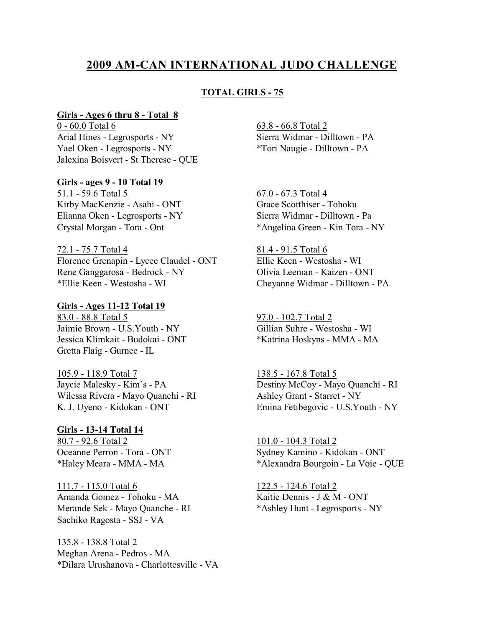## **2009 AM-CAN INTERNATIONAL JUDO CHALLENGE**

#### **TOTAL GIRLS - 75**

#### **Girls - Ages 6 thru 8 - Total 8**

0 - 60.0 Total 6 63.8 - 66.8 Total 2 Arial Hines - Legrosports - NY Sierra Widmar - Dilltown - PA Yael Oken - Legrosports - NY \*Tori Naugie - Dilltown - PA Jalexina Boisvert - St Therese - QUE

**Girls - ages 9 - 10 Total 19**

Kirby MacKenzie - Asahi - ONT Grace Scotthiser - Tohoku Elianna Oken - Legrosports - NY Sierra Widmar - Dilltown - Pa

72.1 - 75.7 Total 4 81.4 - 91.5 Total 6 Florence Grenapin - Lycee Claudel - ONT Ellie Keen - Westosha - WI Rene Ganggarosa - Bedrock - NY Olivia Leeman - Kaizen - ONT \*Ellie Keen - Westosha - WI Cheyanne Widmar - Dilltown - PA

**Girls - Ages 11-12 Total 19** 83.0 - 88.8 Total 5 97.0 - 102.7 Total 2 Jaimie Brown - U.S.Youth - NY Gillian Suhre - Westosha - WI Jessica Klimkait - Budokai - ONT \*Katrina Hoskyns - MMA - MA Gretta Flaig - Gurnee - IL

105.9 - 118.9 Total 7<br>
Jaycie Malesky - Kim's - PA<br>
Destiny McCoy - May Wilessa Rivera - Mayo Quanchi - RI Ashley Grant - Starret - NY<br>
K. J. Uyeno - Kidokan - ONT Emina Fetibegovic - U.S.Yo

**Girls - 13-14 Total 14** 80.7 - 92.6 Total 2 101.0 - 104.3 Total 2

111.7 - 115.0 Total 6 122.5 - 124.6 Total 2 Amanda Gomez - Tohoku - MA Kaitie Dennis - J & M - ONT Merande Sek - Mayo Quanche - RI \*Ashley Hunt - Legrosports - NY Sachiko Ragosta - SSJ - VA

135.8 - 138.8 Total 2 Meghan Arena - Pedros - MA \*Dilara Urushanova - Charlottesville - VA

51.1 - 59.6 Total 5 67.0 - 67.3 Total 4 Crystal Morgan - Tora - Ont \*Angelina Green - Kin Tora - NY

Destiny McCoy - Mayo Quanchi - RI Emina Fetibegovic - U.S.Youth - NY

Oceanne Perron - Tora - ONT Sydney Kamino - Kidokan - ONT \*Haley Meara - MMA - MA \*Alexandra Bourgoin - La Voie - QUE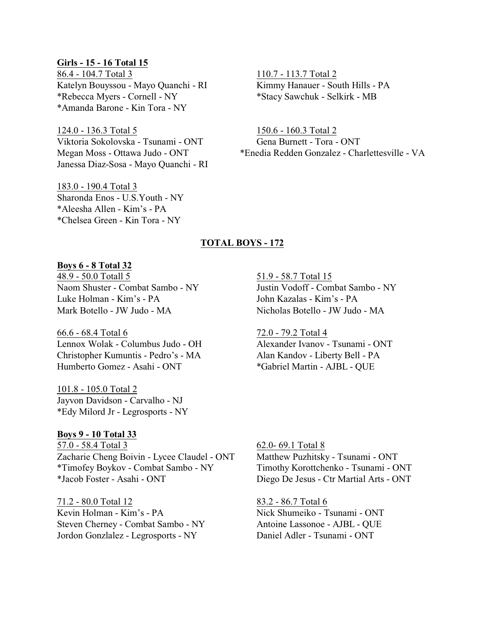#### **Girls - 15 - 16 Total 15**

86.4 - 104.7 Total 3 110.7 - 113.7 Total 2 Katelyn Bouyssou - Mayo Quanchi - RI Kimmy Hanauer - South Hills - PA \*Rebecca Myers - Cornell - NY \*Stacy Sawchuk - Selkirk - MB \*Amanda Barone - Kin Tora - NY

124.0 - 136.3 Total 5 150.6 - 160.3 Total 2 Viktoria Sokolovska - Tsunami - ONT Gena Burnett - Tora - ONT Janessa Diaz-Sosa - Mayo Quanchi - RI

183.0 - 190.4 Total 3 Sharonda Enos - U.S.Youth - NY \*Aleesha Allen - Kim's - PA \*Chelsea Green - Kin Tora - NY

Megan Moss - Ottawa Judo - ONT \*Enedia Redden Gonzalez - Charlettesville - VA

#### **TOTAL BOYS - 172**

### **Boys 6 - 8 Total 32**

48.9 - 50.0 Totall 5 51.9 - 58.7 Total 15 Naom Shuster - Combat Sambo - NY Justin Vodoff - Combat Sambo - NY Luke Holman - Kim's - PA John Kazalas - Kim's - PA Mark Botello - JW Judo - MA Nicholas Botello - JW Judo - MA

66.6 - 68.4 Total 6 72.0 - 79.2 Total 4 Lennox Wolak - Columbus Judo - OH Alexander Ivanov - Tsunami - ONT Christopher Kumuntis - Pedro's - MA Alan Kandov - Liberty Bell - PA Humberto Gomez - Asahi - ONT \*Gabriel Martin - AJBL - QUE

101.8 - 105.0 Total 2 Jayvon Davidson - Carvalho - NJ \*Edy Milord Jr - Legrosports - NY

#### **Boys 9 - 10 Total 33**

57.0 - 58.4 Total 3 62.0- 69.1 Total 8 Zacharie Cheng Boivin - Lycee Claudel - ONT Matthew Puzhitsky - Tsunami - ONT \*Timofey Boykov - Combat Sambo - NY Timothy Korottchenko - Tsunami - ONT \*Jacob Foster - Asahi - ONT Diego De Jesus - Ctr Martial Arts - ONT

71.2 - 80.0 Total 12 83.2 - 86.7 Total 6 Kevin Holman - Kim's - PA Nick Shumeiko - Tsunami - ONT Steven Cherney - Combat Sambo - NY Antoine Lassonoe - AJBL - QUE Jordon Gonzlalez - Legrosports - NY Daniel Adler - Tsunami - ONT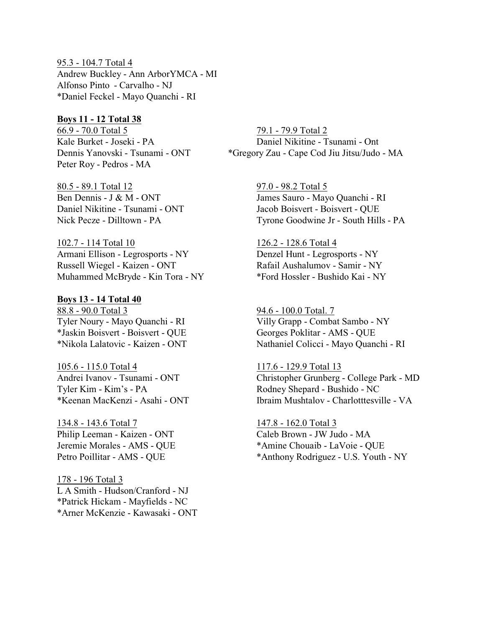95.3 - 104.7 Total 4 Andrew Buckley - Ann ArborYMCA - MI Alfonso Pinto - Carvalho - NJ \*Daniel Feckel - Mayo Quanchi - RI

#### **Boys 11 - 12 Total 38**

66.9 - 70.0 Total 5 79.1 - 79.9 Total 2 Peter Roy - Pedros - MA

80.5 - 89.1 Total 12 97.0 - 98.2 Total 5

102.7 - 114 Total 10 126.2 - 128.6 Total 4 Armani Ellison - Legrosports - NY Denzel Hunt - Legrosports - NY Russell Wiegel - Kaizen - ONT Rafail Aushalumov - Samir - NY Muhammed McBryde - Kin Tora - NY \*Ford Hossler - Bushido Kai - NY

**Boys 13 - 14 Total 40** 88.8 - 90.0 Total 3 94.6 - 100.0 Total. 7 \*Jaskin Boisvert - Boisvert - QUE Georges Poklitar - AMS - QUE

105.6 - 115.0 Total 4 117.6 - 129.9 Total 13 Tyler Kim - Kim's - PA Rodney Shepard - Bushido - NC

134.8 - 143.6 Total 7 147.8 - 162.0 Total 3 Philip Leeman - Kaizen - ONT Caleb Brown - JW Judo - MA

178 - 196 Total 3 L A Smith - Hudson/Cranford - NJ \*Patrick Hickam - Mayfields - NC \*Arner McKenzie - Kawasaki - ONT

Kale Burket - Joseki - PA Daniel Nikitine - Tsunami - Ont Dennis Yanovski - Tsunami - ONT \*Gregory Zau - Cape Cod Jiu Jitsu/Judo - MA

Ben Dennis - J & M - ONT James Sauro - Mayo Quanchi - RI Daniel Nikitine - Tsunami - ONT Jacob Boisvert - Boisvert - QUE Nick Pecze - Dilltown - PA Tyrone Goodwine Jr - South Hills - PA

Tyler Noury - Mayo Quanchi - RI Villy Grapp - Combat Sambo - NY \*Nikola Lalatovic - Kaizen - ONT Nathaniel Colicci - Mayo Quanchi - RI

Andrei Ivanov - Tsunami - ONT Christopher Grunberg - College Park - MD \*Keenan MacKenzi - Asahi - ONT Ibraim Mushtalov - Charlotttesville - VA

Jeremie Morales - AMS - QUE \*Amine Chouaib - LaVoie - QUE Petro Poillitar - AMS - QUE \*Anthony Rodriguez - U.S. Youth - NY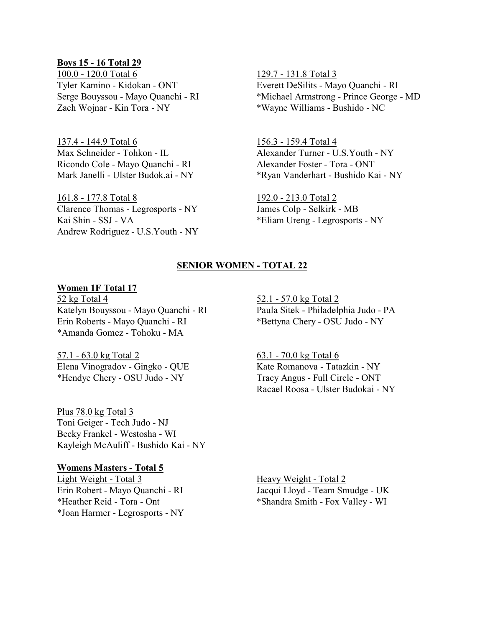#### **Boys 15 - 16 Total 29**

100.0 - 120.0 Total 6 129.7 - 131.8 Total 3 Zach Wojnar - Kin Tora - NY \*Wayne Williams - Bushido - NC

137.4 - 144.9 Total 6 156.3 - 159.4 Total 4 Ricondo Cole - Mayo Quanchi - RI Alexander Foster - Tora - ONT<br>
Mark Janelli - Ulster Budok.ai - NY \*Rvan Vanderhart - Bushido Ka

161.8 - 177.8 Total 8<br>Clarence Thomas - Legrosports - NY James Colp - Selkirk - MB Clarence Thomas - Legrosports - NY Kai Shin - SSJ - VA \*Eliam Ureng - Legrosports - NY Andrew Rodriguez - U.S.Youth - NY

Tyler Kamino - Kidokan - ONT Everett DeSilits - Mayo Quanchi - RI Serge Bouyssou - Mayo Quanchi - RI \*Michael Armstrong - Prince George - MD

Max Schneider - Tohkon - IL Alexander Turner - U.S.Youth - NY \*Ryan Vanderhart - Bushido Kai - NY

#### **SENIOR WOMEN - TOTAL 22**

#### **Women 1F Total 17**

52 kg Total 4 52.1 - 57.0 kg Total 2 Katelyn Bouyssou - Mayo Quanchi - RI Paula Sitek - Philadelphia Judo - PA Erin Roberts - Mayo Quanchi - RI \*Bettyna Chery - OSU Judo - NY \*Amanda Gomez - Tohoku - MA

57.1 - 63.0 kg Total 2 63.1 - 70.0 kg Total 6 Elena Vinogradov - Gingko - OUE Kate Romanova - Tatazkin - NY \*Hendye Chery - OSU Judo - NY Tracy Angus - Full Circle - ONT

Plus 78.0 kg Total 3 Toni Geiger - Tech Judo - NJ Becky Frankel - Westosha - WI Kayleigh McAuliff - Bushido Kai - NY

# **Womens Masters - Total 5**<br>Light Weight - Total 3

\*Joan Harmer - Legrosports - NY

Racael Roosa - Ulster Budokai - NY

Heavy Weight - Total 2 Erin Robert - Mayo Quanchi - RI Jacqui Lloyd - Team Smudge - UK \*Heather Reid - Tora - Ont \*Shandra Smith - Fox Valley - WI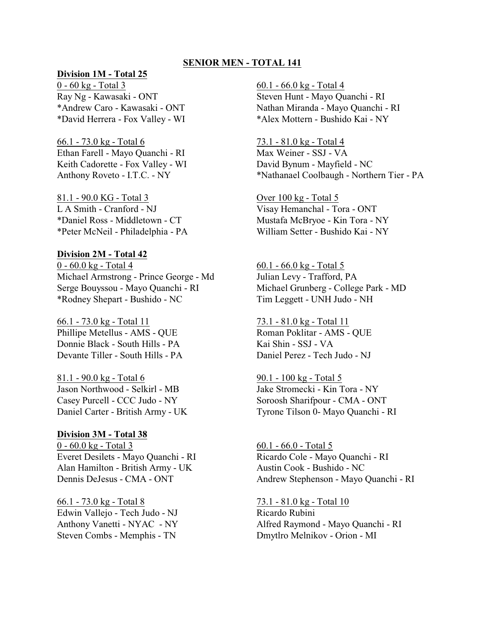#### **SENIOR MEN - TOTAL 141**

#### **Division 1M - Total 25**

0 - 60 kg - Total 3 60.1 - 66.0 kg - Total 4

66.1 - 73.0 kg - Total 6 73.1 - 81.0 kg - Total 4 Ethan Farell - Mayo Quanchi - RI Max Weiner - SSJ - VA Keith Cadorette - Fox Valley - WI David Bynum - Mayfield - NC

81.1 - 90.0 KG - Total 3 Over 100 kg - Total 5 L A Smith - Cranford - NJ Visay Hemanchal - Tora - ONT \*Daniel Ross - Middletown - CT Mustafa McBryoe - Kin Tora - NY \*Peter McNeil - Philadelphia - PA William Setter - Bushido Kai - NY

#### **Division 2M - Total 42**

 $0 - 60.0 \text{ kg} - \text{Total } 4$  60.1 - 66.0 kg - Total 5 Michael Armstrong - Prince George - Md Julian Levy - Trafford, PA Serge Bouyssou - Mayo Quanchi - RI Michael Grunberg - College Park - MD \*Rodney Shepart - Bushido - NC Tim Leggett - UNH Judo - NH

66.1 - 73.0 kg - Total 11 73.1 - 81.0 kg - Total 11 Phillipe Metellus - AMS - QUE Roman Poklitar - AMS - QUE Donnie Black - South Hills - PA Kai Shin - SSJ - VA Devante Tiller - South Hills - PA Daniel Perez - Tech Judo - NJ

81.1 - 90.0 kg - Total 6 90.1 - 100 kg - Total 5 Jason Northwood - Selkirl - MB Jake Stromecki - Kin Tora - NY

#### **Division 3M - Total 38**

0 - 60.0 kg - Total 3 60.1 - 66.0 - Total 5 Everet Desilets - Mayo Quanchi - RI Ricardo Cole - Mayo Quanchi - RI Alan Hamilton - British Army - UK Austin Cook - Bushido - NC

66.1 - 73.0 kg - Total 8 73.1 - 81.0 kg - Total 10 Edwin Vallejo - Tech Judo - NJ Ricardo Rubini

Ray Ng - Kawasaki - ONT Steven Hunt - Mayo Quanchi - RI \*Andrew Caro - Kawasaki - ONT Nathan Miranda - Mayo Quanchi - RI \*David Herrera - Fox Valley - WI \*Alex Mottern - Bushido Kai - NY

Anthony Roveto - I.T.C. - NY \*Nathanael Coolbaugh - Northern Tier - PA

Casey Purcell - CCC Judo - NY Soroosh Sharifpour - CMA - ONT Daniel Carter - British Army - UK Tyrone Tilson 0- Mayo Quanchi - RI

Dennis DeJesus - CMA - ONT Andrew Stephenson - Mayo Quanchi - RI

Anthony Vanetti - NYAC - NY Alfred Raymond - Mayo Quanchi - RI Steven Combs - Memphis - TN Dmytlro Melnikov - Orion - MI